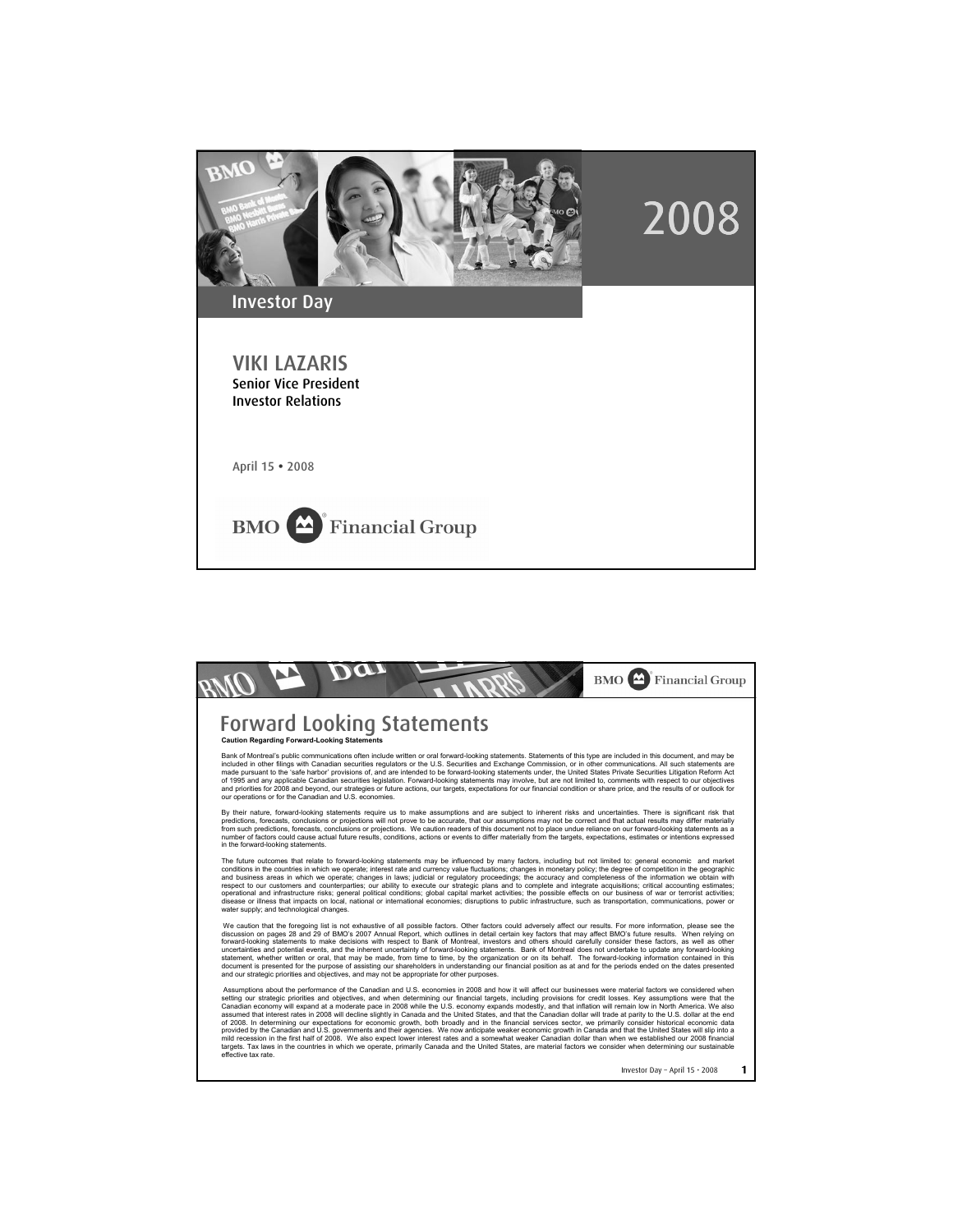

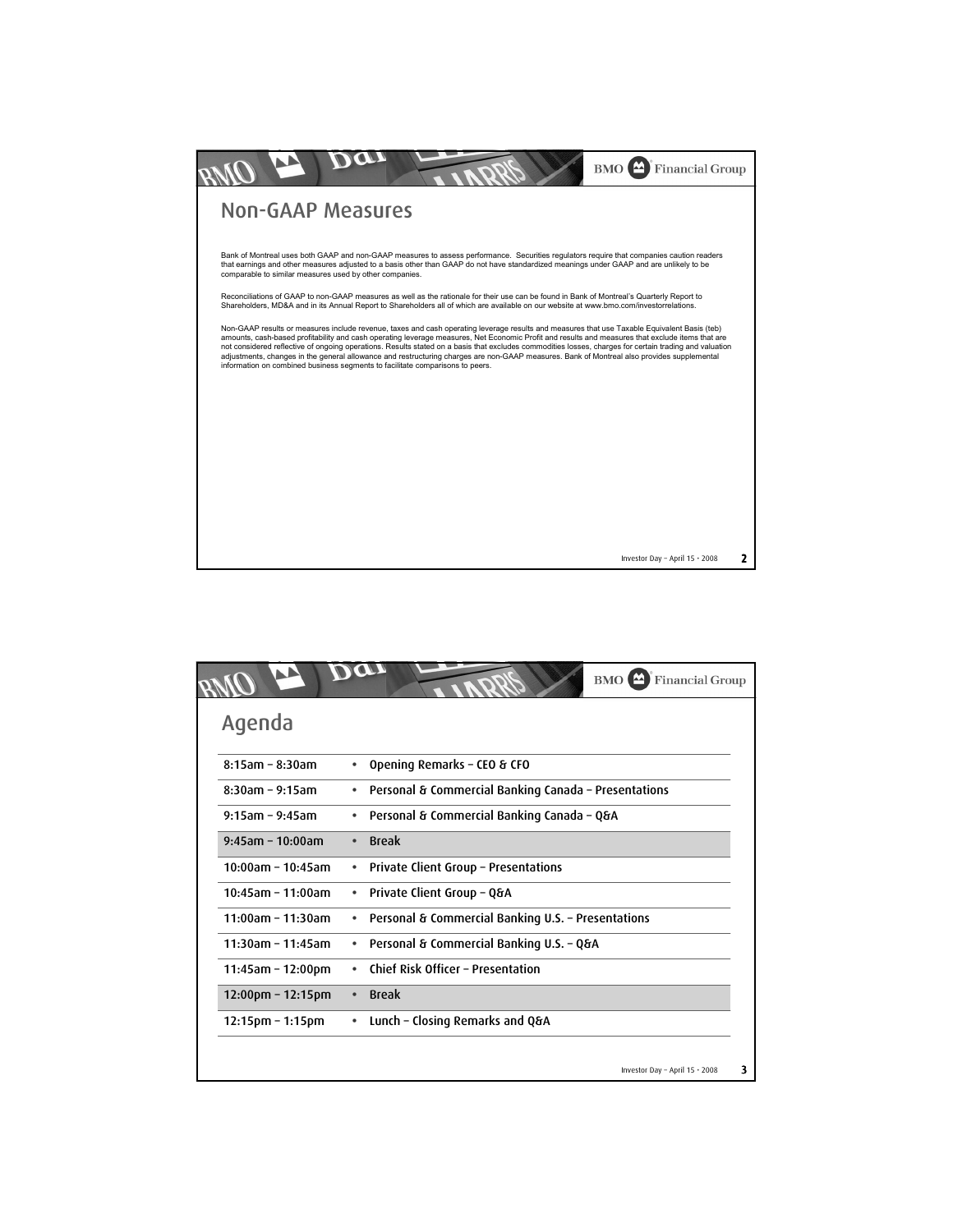

|                       | <b>Financial Group</b><br><b>BMO</b>                 |   |  |  |
|-----------------------|------------------------------------------------------|---|--|--|
| Agenda                |                                                      |   |  |  |
| $8:15$ am - $8:30$ am | Opening Remarks - CEO & CFO                          |   |  |  |
| $8:30$ am - 9:15am    | Personal & Commercial Banking Canada - Presentations |   |  |  |
| $9:15$ am - $9:45$ am | Personal & Commercial Banking Canada - Q&A           |   |  |  |
| $9:45$ am - 10:00am   | <b>Break</b><br>$\bullet$                            |   |  |  |
| $10:00$ am - 10:45am  | Private Client Group - Presentations                 |   |  |  |
| $10:45$ am - 11:00am  | Private Client Group - Q&A<br>$\bullet$              |   |  |  |
| $11:00$ am - 11:30am  | Personal & Commercial Banking U.S. - Presentations   |   |  |  |
| $11:30am - 11:45am$   | Personal & Commercial Banking U.S. - Q&A<br>٠        |   |  |  |
| $11:45$ am - 12:00pm  | Chief Risk Officer - Presentation                    |   |  |  |
| $12:00$ pm – 12:15pm  | <b>Break</b><br>$\bullet$                            |   |  |  |
| $12:15$ pm - 1:15pm   | Lunch - Closing Remarks and Q&A                      |   |  |  |
|                       |                                                      |   |  |  |
|                       | Investor Day - April 15 · 2008                       | 3 |  |  |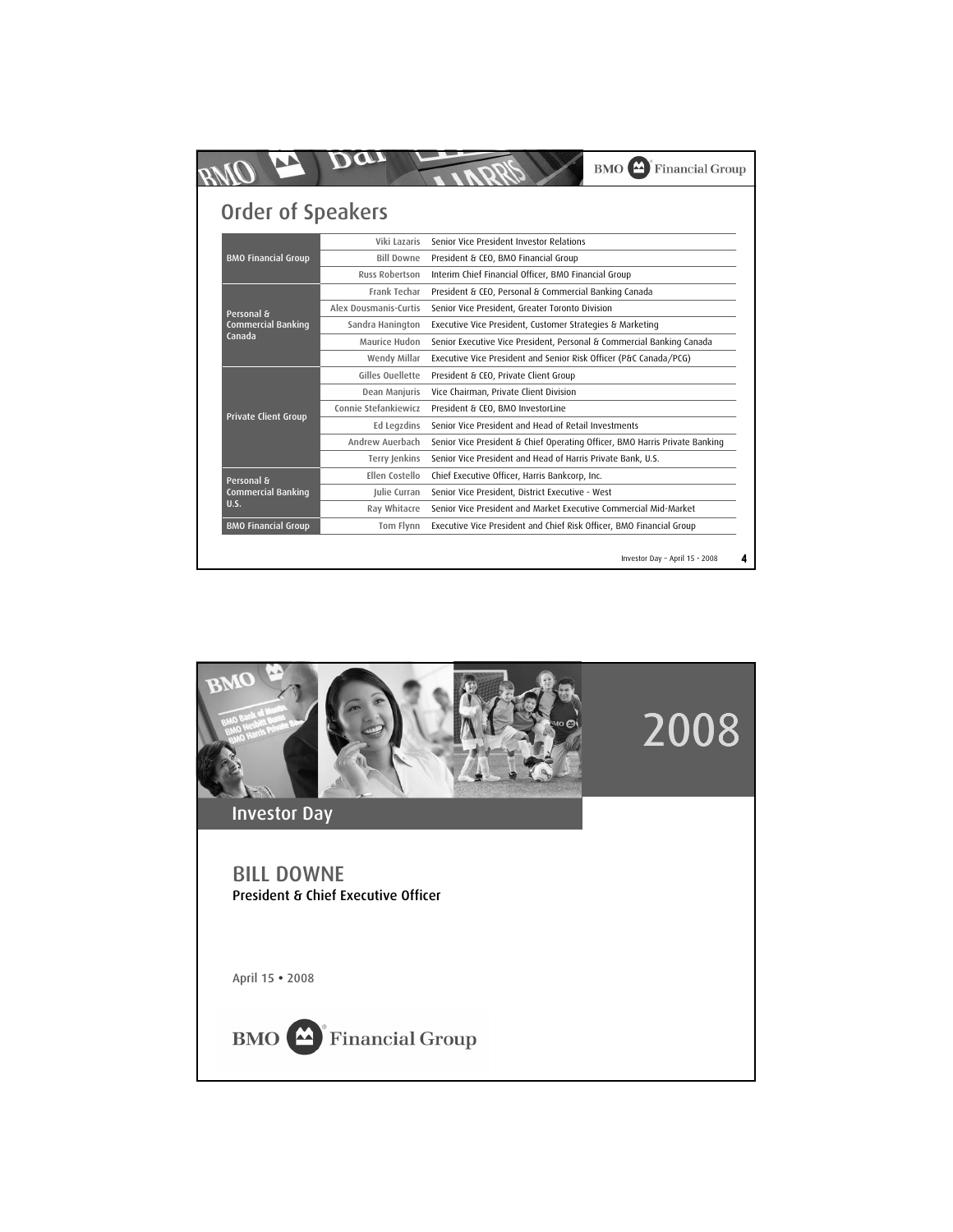| Order of Speakers                                 |                       |                                                                             |  |
|---------------------------------------------------|-----------------------|-----------------------------------------------------------------------------|--|
| <b>BMO Financial Group</b>                        | Viki Lazaris          | Senior Vice President Investor Relations                                    |  |
|                                                   | <b>Bill Downe</b>     | President & CEO, BMO Financial Group                                        |  |
|                                                   | <b>Russ Robertson</b> | Interim Chief Financial Officer, BMO Financial Group                        |  |
| Personal &<br><b>Commercial Banking</b><br>Canada | Frank Techar          | President & CEO, Personal & Commercial Banking Canada                       |  |
|                                                   | Alex Dousmanis-Curtis | Senior Vice President, Greater Toronto Division                             |  |
|                                                   | Sandra Hanington      | Executive Vice President, Customer Strategies & Marketing                   |  |
|                                                   | Maurice Hudon         | Senior Executive Vice President, Personal & Commercial Banking Canada       |  |
|                                                   | Wendy Millar          | Executive Vice President and Senior Risk Officer (P&C Canada/PCG)           |  |
| <b>Private Client Group</b>                       | Gilles Quellette      | President & CEO, Private Client Group                                       |  |
|                                                   | Dean Manjuris         | Vice Chairman, Private Client Division                                      |  |
|                                                   | Connie Stefankiewicz  | President & CEO, BMO InvestorLine                                           |  |
|                                                   | Ed Legzdins           | Senior Vice President and Head of Retail Investments                        |  |
|                                                   | Andrew Auerbach       | Senior Vice President & Chief Operating Officer, BMO Harris Private Banking |  |
|                                                   | <b>Terry Jenkins</b>  | Senior Vice President and Head of Harris Private Bank, U.S.                 |  |
| Personal &<br><b>Commercial Banking</b><br>U.S.   | Ellen Costello        | Chief Executive Officer, Harris Bankcorp, Inc.                              |  |
|                                                   | Julie Curran          | Senior Vice President, District Executive - West                            |  |
|                                                   | Ray Whitacre          | Senior Vice President and Market Executive Commercial Mid-Market            |  |
| <b>BMO Financial Group</b>                        | Tom Flynn             | Executive Vice President and Chief Risk Officer, BMO Financial Group        |  |

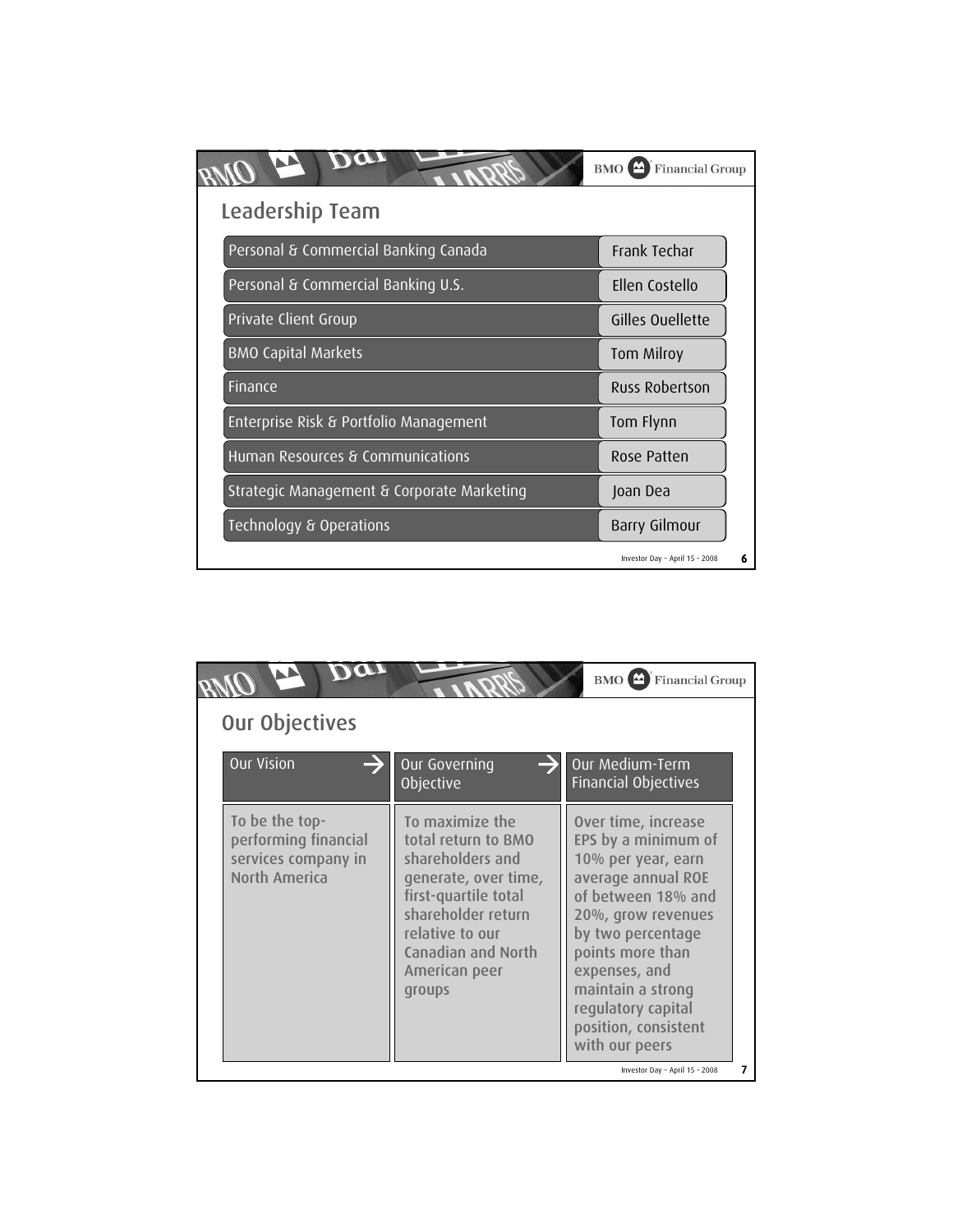| $BMO$ $\triangle$<br><b>Financial Group</b> |                                           |  |  |  |  |
|---------------------------------------------|-------------------------------------------|--|--|--|--|
| Leadership Team                             |                                           |  |  |  |  |
| Personal & Commercial Banking Canada        | Frank Techar                              |  |  |  |  |
| Personal & Commercial Banking U.S.          | Ellen Costello                            |  |  |  |  |
| Private Client Group                        | Gilles Ouellette                          |  |  |  |  |
| <b>BMO Capital Markets</b>                  | Tom Milroy                                |  |  |  |  |
| <b>Finance</b>                              | Russ Robertson                            |  |  |  |  |
| Enterprise Risk & Portfolio Management      | Tom Flynn                                 |  |  |  |  |
| Human Resources & Communications            | Rose Patten                               |  |  |  |  |
| Strategic Management & Corporate Marketing  | Joan Dea                                  |  |  |  |  |
| Technology & Operations                     | Barry Gilmour                             |  |  |  |  |
|                                             | Investor Day - April $15 \cdot 2008$<br>6 |  |  |  |  |

| $BMO$ <sup><math>\triangle</math></sup><br><b>Financial Group</b><br><b>Our Objectives</b> |                                                                                                                                                                                                             |                                                                                                                                                                                                                                                                                   |  |  |  |  |
|--------------------------------------------------------------------------------------------|-------------------------------------------------------------------------------------------------------------------------------------------------------------------------------------------------------------|-----------------------------------------------------------------------------------------------------------------------------------------------------------------------------------------------------------------------------------------------------------------------------------|--|--|--|--|
| Our Vision                                                                                 | Our Governing<br>Objective                                                                                                                                                                                  | Our Medium-Term<br><b>Financial Objectives</b>                                                                                                                                                                                                                                    |  |  |  |  |
| To be the top-<br>performing financial<br>services company in<br><b>North America</b>      | To maximize the<br>total return to BMO<br>shareholders and<br>generate, over time,<br>first-quartile total<br>shareholder return<br>relative to our<br><b>Canadian and North</b><br>American peer<br>qroups | Over time, increase<br>EPS by a minimum of<br>10% per year, earn<br>average annual ROE<br>of between 18% and<br>20%, grow revenues<br>by two percentage<br>points more than<br>expenses, and<br>maintain a strong<br>regulatory capital<br>position, consistent<br>with our peers |  |  |  |  |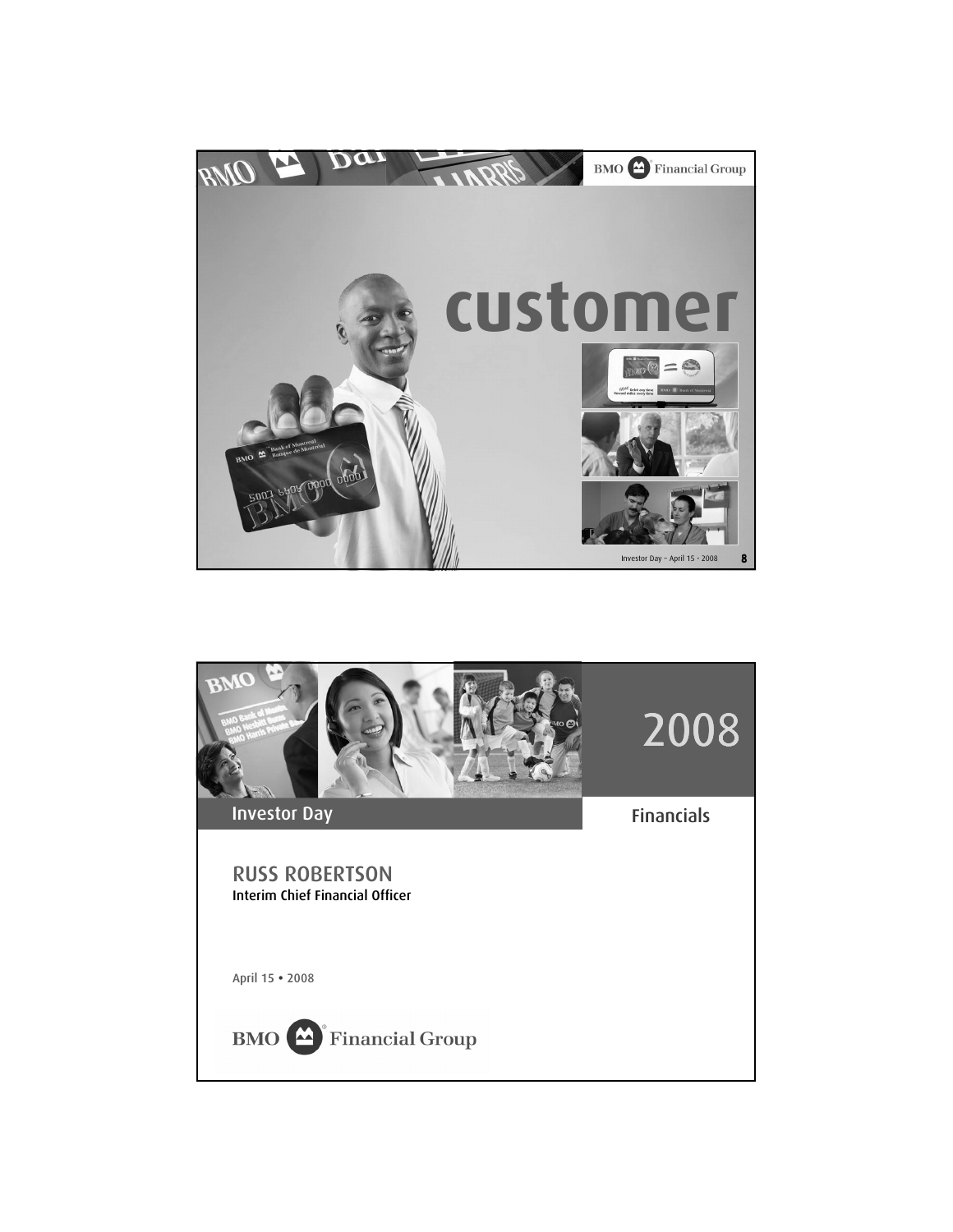

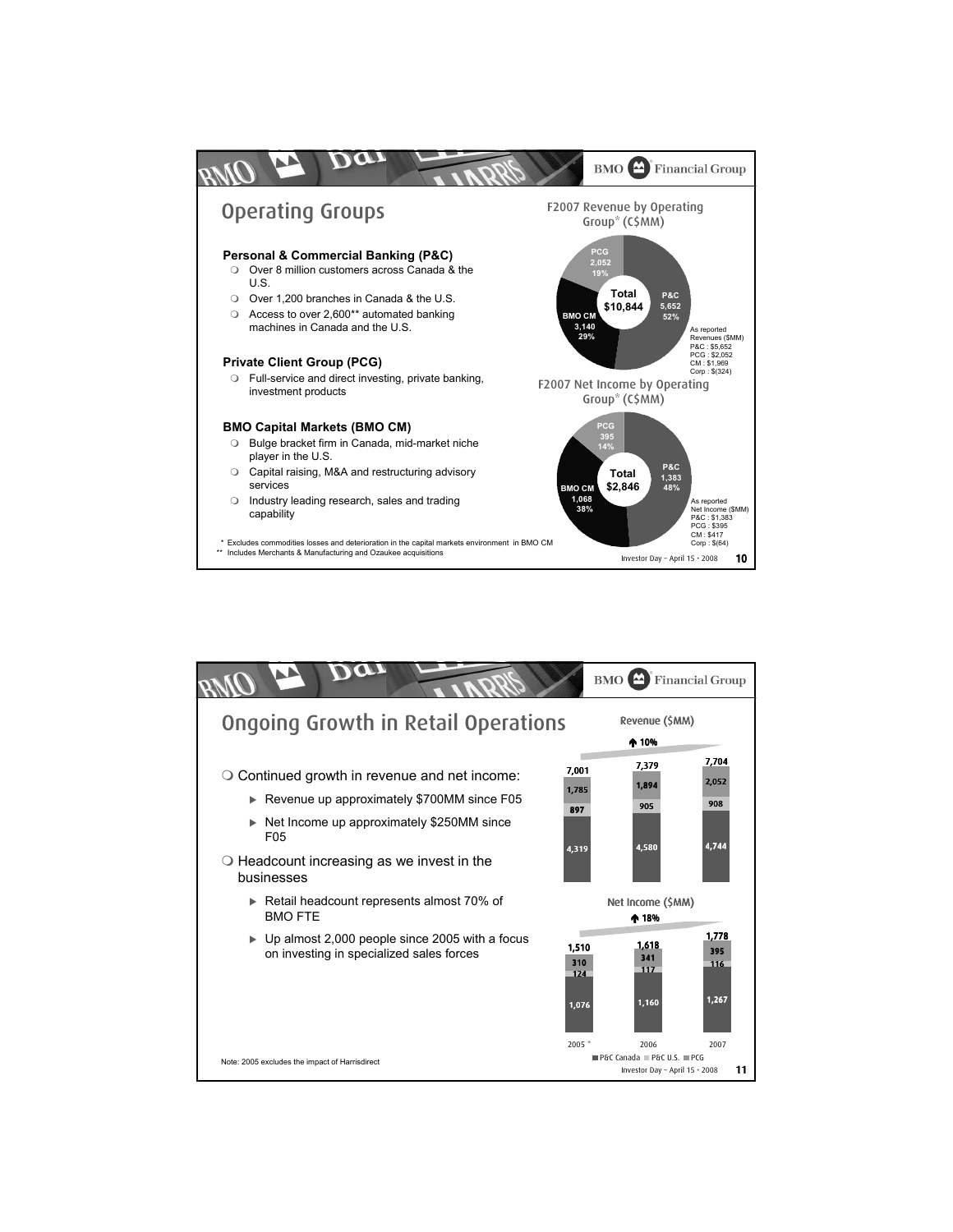